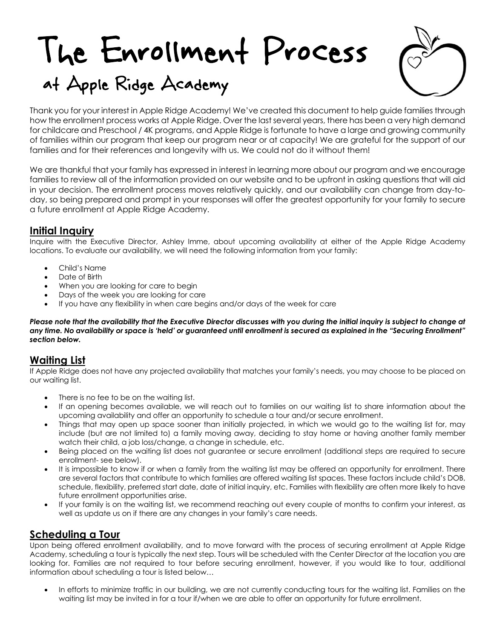# The Enrollment Process at Apple Ridge Academy



Thank you for your interest in Apple Ridge Academy! We've created this document to help guide families through how the enrollment process works at Apple Ridge. Over the last several years, there has been a very high demand for childcare and Preschool / 4K programs, and Apple Ridge is fortunate to have a large and growing community of families within our program that keep our program near or at capacity! We are grateful for the support of our families and for their references and longevity with us. We could not do it without them!

We are thankful that your family has expressed in interest in learning more about our program and we encourage families to review all of the information provided on our website and to be upfront in asking questions that will aid in your decision. The enrollment process moves relatively quickly, and our availability can change from day-today, so being prepared and prompt in your responses will offer the greatest opportunity for your family to secure a future enrollment at Apple Ridge Academy.

### **Initial Inquiry**

Inquire with the Executive Director, Ashley Imme, about upcoming availability at either of the Apple Ridge Academy locations. To evaluate our availability, we will need the following information from your family:

- Child's Name
- Date of Birth
- When you are looking for care to begin
- Days of the week you are looking for care
- If you have any flexibility in when care begins and/or days of the week for care

*Please note that the availability that the Executive Director discusses with you during the initial inquiry is subject to change at any time. No availability or space is 'held' or guaranteed until enrollment is secured as explained in the "Securing Enrollment" section below.*

# **Waiting List**

If Apple Ridge does not have any projected availability that matches your family's needs, you may choose to be placed on our waiting list.

- There is no fee to be on the waiting list.
- If an opening becomes available, we will reach out to families on our waiting list to share information about the upcoming availability and offer an opportunity to schedule a tour and/or secure enrollment.
- Things that may open up space sooner than initially projected, in which we would go to the waiting list for, may include (but are not limited to) a family moving away, deciding to stay home or having another family member watch their child, a job loss/change, a change in schedule, etc.
- Being placed on the waiting list does not guarantee or secure enrollment (additional steps are required to secure enrollment- see below).
- It is impossible to know if or when a family from the waiting list may be offered an opportunity for enrollment. There are several factors that contribute to which families are offered waiting list spaces. These factors include child's DOB, schedule, flexibility, preferred start date, date of initial inquiry, etc. Families with flexibility are often more likely to have future enrollment opportunities arise.
- If your family is on the waiting list, we recommend reaching out every couple of months to confirm your interest, as well as update us on if there are any changes in your family's care needs.

# **Scheduling a Tour**

Upon being offered enrollment availability, and to move forward with the process of securing enrollment at Apple Ridge Academy, scheduling a tour is typically the next step. Tours will be scheduled with the Center Director at the location you are looking for. Families are not required to tour before securing enrollment, however, if you would like to tour, additional information about scheduling a tour is listed below…

• In efforts to minimize traffic in our building, we are not currently conducting tours for the waiting list. Families on the waiting list may be invited in for a tour if/when we are able to offer an opportunity for future enrollment.